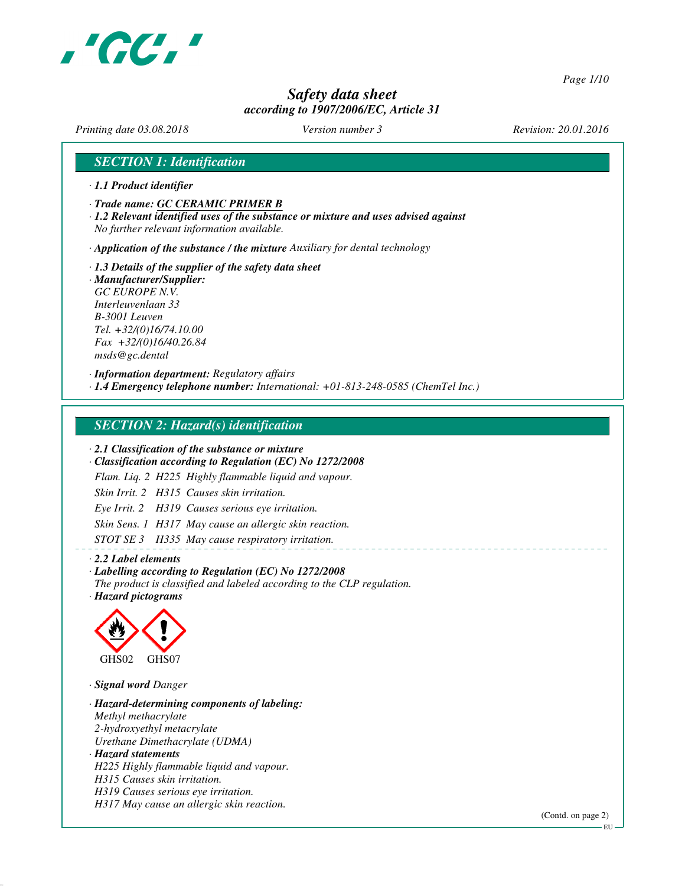

*Page 1/10*

# *Safety data sheet according to 1907/2006/EC, Article 31*

*Printing date 03.08.2018 Version number 3 Revision: 20.01.2016*

## *SECTION 1: Identification*

- *· 1.1 Product identifier*
- *· Trade name: GC CERAMIC PRIMER B*
- *· 1.2 Relevant identified uses of the substance or mixture and uses advised against No further relevant information available.*

*· Application of the substance / the mixture Auxiliary for dental technology*

*· 1.3 Details of the supplier of the safety data sheet · Manufacturer/Supplier: GC EUROPE N.V. Interleuvenlaan 33 B-3001 Leuven Tel. +32/(0)16/74.10.00 Fax +32/(0)16/40.26.84 msds@gc.dental*

*· Information department: Regulatory affairs*

*· 1.4 Emergency telephone number: International: +01-813-248-0585 (ChemTel Inc.)*

## *SECTION 2: Hazard(s) identification*

*· 2.1 Classification of the substance or mixture*

*· Classification according to Regulation (EC) No 1272/2008*

*Flam. Liq. 2 H225 Highly flammable liquid and vapour.*

*Skin Irrit. 2 H315 Causes skin irritation.*

*Eye Irrit. 2 H319 Causes serious eye irritation.*

*Skin Sens. 1 H317 May cause an allergic skin reaction.*

*STOT SE 3 H335 May cause respiratory irritation.*

#### *· 2.2 Label elements*

## *· Labelling according to Regulation (EC) No 1272/2008*

*The product is classified and labeled according to the CLP regulation.*

*· Hazard pictograms*



*· Signal word Danger*

*· Hazard-determining components of labeling: Methyl methacrylate 2-hydroxyethyl metacrylate Urethane Dimethacrylate (UDMA) · Hazard statements H225 Highly flammable liquid and vapour. H315 Causes skin irritation. H319 Causes serious eye irritation. H317 May cause an allergic skin reaction.*

(Contd. on page 2)

EU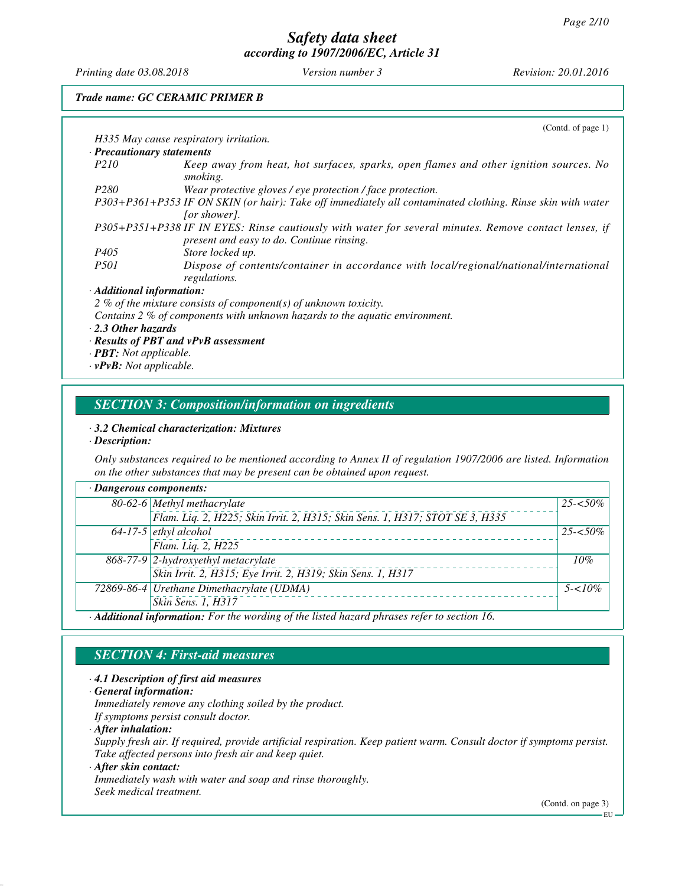*Printing date 03.08.2018 Version number 3 Revision: 20.01.2016*

*Trade name: GC CERAMIC PRIMER B*

|                                      | (Cond. of page 1)                                                                                                                                  |
|--------------------------------------|----------------------------------------------------------------------------------------------------------------------------------------------------|
|                                      | H335 May cause respiratory irritation.                                                                                                             |
| · Precautionary statements           |                                                                                                                                                    |
| <i>P210</i>                          | Keep away from heat, hot surfaces, sparks, open flames and other ignition sources. No<br>smoking.                                                  |
| P280                                 | Wear protective gloves / eye protection / face protection.                                                                                         |
|                                      | P303+P361+P353 IF ON SKIN (or hair): Take off immediately all contaminated clothing. Rinse skin with water<br>[or shower].                         |
|                                      | P305+P351+P338 IF IN EYES: Rinse cautiously with water for several minutes. Remove contact lenses, if<br>present and easy to do. Continue rinsing. |
| P <sub>405</sub>                     | Store locked up.                                                                                                                                   |
| <i>P501</i>                          | Dispose of contents/container in accordance with local/regional/national/international<br>regulations.                                             |
| · Additional information:            |                                                                                                                                                    |
|                                      | 2 % of the mixture consists of component(s) of unknown toxicity.                                                                                   |
|                                      | Contains 2 % of components with unknown hazards to the aquatic environment.                                                                        |
| $\cdot$ 2.3 Other hazards            |                                                                                                                                                    |
|                                      | $\cdot$ Results of PBT and $vPvB$ assessment                                                                                                       |
| $\cdot$ <b>PBT</b> : Not applicable. |                                                                                                                                                    |

*· vPvB: Not applicable.*

## *SECTION 3: Composition/information on ingredients*

### *· 3.2 Chemical characterization: Mixtures*

*· Description:*

*Only substances required to be mentioned according to Annex II of regulation 1907/2006 are listed. Information on the other substances that may be present can be obtained upon request.*

| · Dangerous components: |                                                                                             |             |
|-------------------------|---------------------------------------------------------------------------------------------|-------------|
|                         | 80-62-6 Methyl methacrylate                                                                 | $25 - 50\%$ |
|                         | Flam. Liq. 2, H225; Skin Irrit. 2, H315; Skin Sens. 1, H317; STOT SE 3, H335                |             |
|                         | $64-17-5$ ethyl alcohol                                                                     | $25 - 50\%$ |
|                         | Flam. Liq. 2, H225                                                                          |             |
|                         | 868-77-9 2-hydroxyethyl metacrylate                                                         | 10%         |
|                         | Skin Irrit. 2, H315; Eye Irrit. 2, H319; Skin Sens. 1, H317                                 |             |
|                         | 72869-86-4   Urethane Dimethacrylate (UDMA)                                                 | $5 - 10\%$  |
|                         | Skin Sens. 1, H317                                                                          |             |
|                         | · Additional information: For the wording of the listed hazard phrases refer to section 16. |             |

# *SECTION 4: First-aid measures*

#### *· 4.1 Description of first aid measures*

*· General information:*

*Immediately remove any clothing soiled by the product.*

*If symptoms persist consult doctor.*

*· After inhalation:*

*Supply fresh air. If required, provide artificial respiration. Keep patient warm. Consult doctor if symptoms persist. Take affected persons into fresh air and keep quiet.*

*· After skin contact:*

*Immediately wash with water and soap and rinse thoroughly. Seek medical treatment.*

(Contd. on page 3)

EU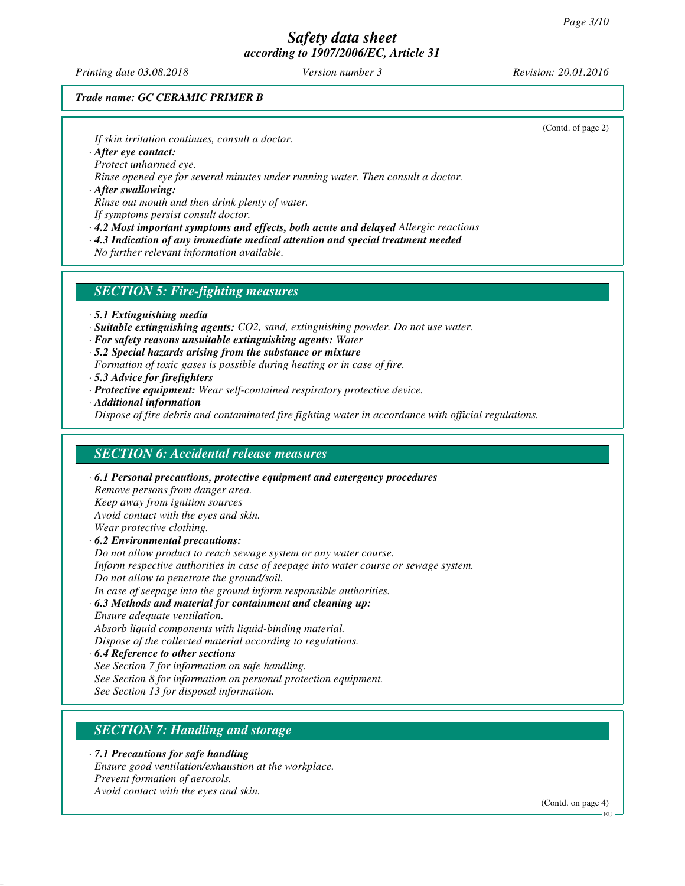*Printing date 03.08.2018 Version number 3 Revision: 20.01.2016*

(Contd. of page 2)

## *Trade name: GC CERAMIC PRIMER B*

*If skin irritation continues, consult a doctor.*

*· After eye contact:*

*Protect unharmed eye.*

*Rinse opened eye for several minutes under running water. Then consult a doctor.*

*· After swallowing: Rinse out mouth and then drink plenty of water.*

*If symptoms persist consult doctor.*

*· 4.2 Most important symptoms and effects, both acute and delayed Allergic reactions*

*· 4.3 Indication of any immediate medical attention and special treatment needed*

*No further relevant information available.*

## *SECTION 5: Fire-fighting measures*

- *· 5.1 Extinguishing media*
- *· Suitable extinguishing agents: CO2, sand, extinguishing powder. Do not use water.*
- *· For safety reasons unsuitable extinguishing agents: Water*
- *· 5.2 Special hazards arising from the substance or mixture*
- *Formation of toxic gases is possible during heating or in case of fire.*
- *· 5.3 Advice for firefighters*
- *· Protective equipment: Wear self-contained respiratory protective device.*
- *· Additional information*

*Dispose of fire debris and contaminated fire fighting water in accordance with official regulations.*

## *SECTION 6: Accidental release measures*

*· 6.1 Personal precautions, protective equipment and emergency procedures Remove persons from danger area. Keep away from ignition sources Avoid contact with the eyes and skin. Wear protective clothing. · 6.2 Environmental precautions: Do not allow product to reach sewage system or any water course. Inform respective authorities in case of seepage into water course or sewage system. Do not allow to penetrate the ground/soil.*

*In case of seepage into the ground inform responsible authorities.*

*· 6.3 Methods and material for containment and cleaning up:*

*Ensure adequate ventilation. Absorb liquid components with liquid-binding material. Dispose of the collected material according to regulations.*

*· 6.4 Reference to other sections See Section 7 for information on safe handling. See Section 8 for information on personal protection equipment. See Section 13 for disposal information.*

## *SECTION 7: Handling and storage*

*· 7.1 Precautions for safe handling Ensure good ventilation/exhaustion at the workplace. Prevent formation of aerosols. Avoid contact with the eyes and skin.*

(Contd. on page 4)

**EU**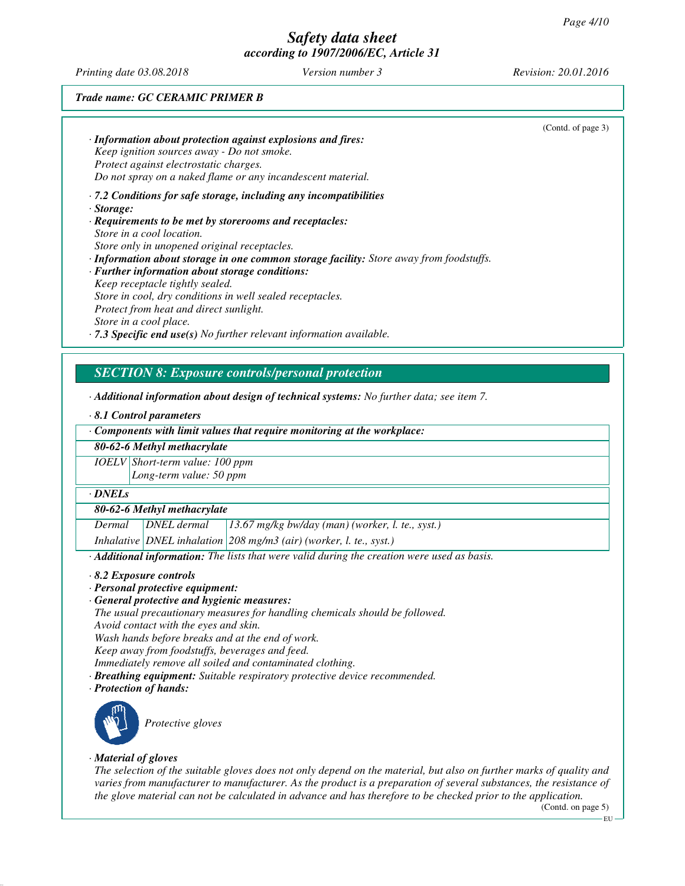*Printing date 03.08.2018 Version number 3 Revision: 20.01.2016*

## *Trade name: GC CERAMIC PRIMER B*

|                                                                                         | (Contd. of page 3) |
|-----------------------------------------------------------------------------------------|--------------------|
| $\cdot$ Information about protection against explosions and fires:                      |                    |
| Keep ignition sources away - Do not smoke.                                              |                    |
| Protect against electrostatic charges.                                                  |                    |
| Do not spray on a naked flame or any incandescent material.                             |                    |
| $\cdot$ 7.2 Conditions for safe storage, including any incompatibilities                |                    |
| $\cdot$ Storage:                                                                        |                    |
| · Requirements to be met by storerooms and receptacles:                                 |                    |
| Store in a cool location.                                                               |                    |
| Store only in unopened original receptacles.                                            |                    |
| · Information about storage in one common storage facility: Store away from foodstuffs. |                    |
| $\cdot$ Further information about storage conditions:                                   |                    |
| Keep receptacle tightly sealed.                                                         |                    |
| Store in cool, dry conditions in well sealed receptacles.                               |                    |
| Protect from heat and direct sunlight.                                                  |                    |
| Store in a cool place.                                                                  |                    |
| $\cdot$ 7.3 Specific end use(s) No further relevant information available.              |                    |

## *SECTION 8: Exposure controls/personal protection*

*· Additional information about design of technical systems: No further data; see item 7.*

#### *· 8.1 Control parameters*

#### *80-62-6 Methyl methacrylate*

*IOELV Short-term value: 100 ppm Long-term value: 50 ppm*

#### *· DNELs*

### *80-62-6 Methyl methacrylate*

*Dermal DNEL dermal 13.67 mg/kg bw/day (man) (worker, l. te., syst.)*

*Inhalative DNEL inhalation 208 mg/m3 (air) (worker, l. te., syst.)*

*· Additional information: The lists that were valid during the creation were used as basis.*

*· 8.2 Exposure controls*

- *· Personal protective equipment:*
- *· General protective and hygienic measures:*

*The usual precautionary measures for handling chemicals should be followed.*

*Avoid contact with the eyes and skin.*

*Wash hands before breaks and at the end of work.*

*Keep away from foodstuffs, beverages and feed.*

- *Immediately remove all soiled and contaminated clothing.*
- *· Breathing equipment: Suitable respiratory protective device recommended.*

*· Protection of hands:*



## *· Material of gloves*

*The selection of the suitable gloves does not only depend on the material, but also on further marks of quality and varies from manufacturer to manufacturer. As the product is a preparation of several substances, the resistance of the glove material can not be calculated in advance and has therefore to be checked prior to the application.*

(Contd. on page 5)

EU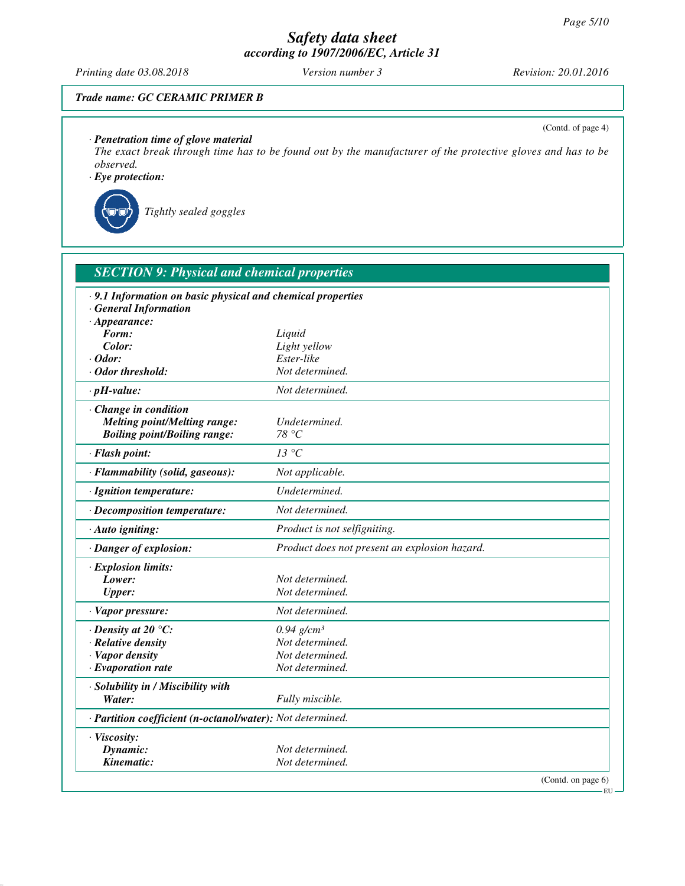*Printing date 03.08.2018 Version number 3 Revision: 20.01.2016*

(Contd. of page 4)

## *Trade name: GC CERAMIC PRIMER B*

*· Penetration time of glove material*

*The exact break through time has to be found out by the manufacturer of the protective gloves and has to be observed.*

*· Eye protection:*



*Tightly sealed goggles*

| <b>SECTION 9: Physical and chemical properties</b>          |                                               |
|-------------------------------------------------------------|-----------------------------------------------|
| · 9.1 Information on basic physical and chemical properties |                                               |
| <b>General Information</b>                                  |                                               |
| $\cdot$ Appearance:                                         |                                               |
| Form:                                                       | Liquid                                        |
| Color:                                                      | Light yellow                                  |
| $\cdot$ Odor:                                               | Ester-like                                    |
| $\cdot$ Odor threshold:                                     | Not determined.                               |
| $\cdot$ pH-value:                                           | Not determined.                               |
| $\cdot$ Change in condition                                 |                                               |
| <b>Melting point/Melting range:</b>                         | Undetermined.                                 |
| <b>Boiling point/Boiling range:</b>                         | 78 °C                                         |
| · Flash point:                                              | 13 °C                                         |
| · Flammability (solid, gaseous):                            | Not applicable.                               |
| · Ignition temperature:                                     | Undetermined.                                 |
| · Decomposition temperature:                                | Not determined.                               |
| · Auto igniting:                                            | Product is not selfigniting.                  |
| · Danger of explosion:                                      | Product does not present an explosion hazard. |
| $\cdot$ Explosion limits:                                   |                                               |
| Lower:                                                      | Not determined.                               |
| <b>Upper:</b>                                               | Not determined.                               |
| · Vapor pressure:                                           | Not determined.                               |
| $\cdot$ Density at 20 °C:                                   | $0.94$ g/cm <sup>3</sup>                      |
| · Relative density                                          | Not determined.                               |
| · Vapor density                                             | Not determined.                               |
| $\cdot$ Evaporation rate                                    | Not determined.                               |
| · Solubility in / Miscibility with                          |                                               |
| Water:                                                      | Fully miscible.                               |
| · Partition coefficient (n-octanol/water): Not determined.  |                                               |
| · Viscosity:                                                |                                               |
| Dynamic:                                                    | Not determined.                               |
| Kinematic:                                                  | Not determined.                               |
|                                                             | (Contd. on page 6)                            |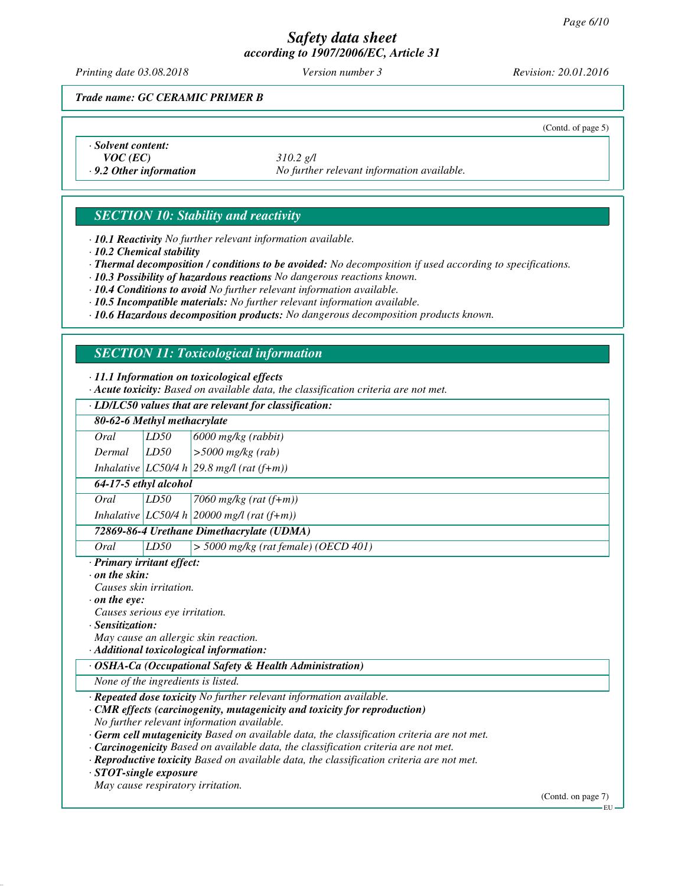*Printing date 03.08.2018 Version number 3 Revision: 20.01.2016*

(Contd. of page 5)

*Trade name: GC CERAMIC PRIMER B*

*· Solvent content:*

*VOC (EC) 310.2 g/l · 9.2 Other information No further relevant information available.*

# *SECTION 10: Stability and reactivity*

*· 10.1 Reactivity No further relevant information available.*

*· 10.2 Chemical stability*

*· Thermal decomposition / conditions to be avoided: No decomposition if used according to specifications.*

*· 10.3 Possibility of hazardous reactions No dangerous reactions known.*

*· 10.4 Conditions to avoid No further relevant information available.*

*· 10.5 Incompatible materials: No further relevant information available.*

*· 10.6 Hazardous decomposition products: No dangerous decomposition products known.*

# *SECTION 11: Toxicological information*

*· 11.1 Information on toxicological effects*

*· Acute toxicity: Based on available data, the classification criteria are not met.*

# *· LD/LC50 values that are relevant for classification:*

| 80-62-6 Methyl methacrylate                                                                |                              |
|--------------------------------------------------------------------------------------------|------------------------------|
| LD50<br>Oral<br>6000 mg/kg (rabbit)                                                        |                              |
| LD50<br>$>$ 5000 mg/kg (rab)<br>Dermal                                                     |                              |
| Inhalative $ LCS0/4 h 29.8 m g/l$ (rat (f+m))                                              |                              |
| 64-17-5 ethyl alcohol                                                                      |                              |
| LD50<br>Oral<br>7060 mg/kg (rat $(f+m)$ )                                                  |                              |
| Inhalative $ LCS0/4 h $ 20000 mg/l (rat (f+m))                                             |                              |
| 72869-86-4 Urethane Dimethacrylate (UDMA)                                                  |                              |
| Oral<br>LD50<br>$>$ 5000 mg/kg (rat female) (OECD 401)                                     |                              |
| · Primary irritant effect:                                                                 |                              |
| $\cdot$ on the skin:                                                                       |                              |
| Causes skin irritation.                                                                    |                              |
| $\cdot$ on the eve:                                                                        |                              |
| Causes serious eye irritation.                                                             |                              |
| · Sensitization:                                                                           |                              |
| May cause an allergic skin reaction.                                                       |                              |
| · Additional toxicological information:                                                    |                              |
| · OSHA-Ca (Occupational Safety & Health Administration)                                    |                              |
| None of the ingredients is listed.                                                         |                              |
| · Repeated dose toxicity No further relevant information available.                        |                              |
| · CMR effects (carcinogenity, mutagenicity and toxicity for reproduction)                  |                              |
| No further relevant information available.                                                 |                              |
| · Germ cell mutagenicity Based on available data, the classification criteria are not met. |                              |
| <b>Carcinogenicity</b> Based on available data, the classification criteria are not met.   |                              |
| · Reproductive toxicity Based on available data, the classification criteria are not met.  |                              |
| $\cdot$ STOT-single exposure                                                               |                              |
| May cause respiratory irritation.                                                          |                              |
|                                                                                            | (Contd. on page 7)<br>– FU - |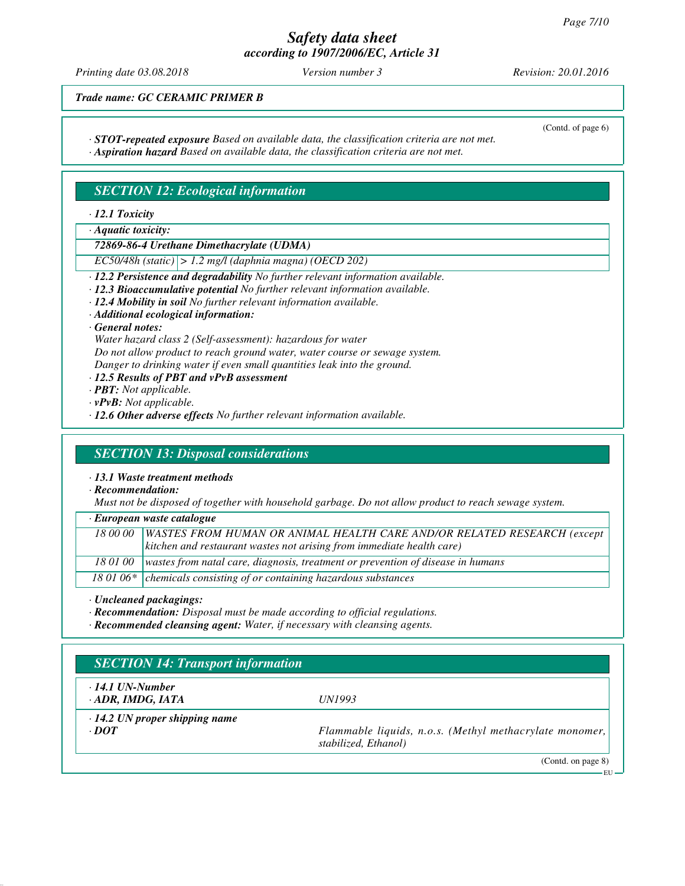*Printing date 03.08.2018 Version number 3 Revision: 20.01.2016*

*Trade name: GC CERAMIC PRIMER B*

*· STOT-repeated exposure Based on available data, the classification criteria are not met.*

(Contd. of page 6)

*· Aspiration hazard Based on available data, the classification criteria are not met.*

# *SECTION 12: Ecological information*

*· 12.1 Toxicity*

*· Aquatic toxicity:*

*72869-86-4 Urethane Dimethacrylate (UDMA)*

*EC50/48h (static) > 1.2 mg/l (daphnia magna) (OECD 202)*

- *· 12.2 Persistence and degradability No further relevant information available.*
- *· 12.3 Bioaccumulative potential No further relevant information available.*
- *· 12.4 Mobility in soil No further relevant information available.*
- *· Additional ecological information:*

*· General notes:*

*Water hazard class 2 (Self-assessment): hazardous for water*

*Do not allow product to reach ground water, water course or sewage system. Danger to drinking water if even small quantities leak into the ground.*

- 
- *· 12.5 Results of PBT and vPvB assessment*
- *· PBT: Not applicable.*
- *· vPvB: Not applicable.*
- *· 12.6 Other adverse effects No further relevant information available.*

## *SECTION 13: Disposal considerations*

*· 13.1 Waste treatment methods*

*· Recommendation:*

*Must not be disposed of together with household garbage. Do not allow product to reach sewage system.*

| · European waste catalogue |  |
|----------------------------|--|
|----------------------------|--|

|          | 18 00 00   WASTES FROM HUMAN OR ANIMAL HEALTH CARE AND/OR RELATED RESEARCH (except      |
|----------|-----------------------------------------------------------------------------------------|
|          | kitchen and restaurant wastes not arising from immediate health care)                   |
| 18 01 00 | $\vert$ wastes from natal care, diagnosis, treatment or prevention of disease in humans |
|          | 18 01 06 $*$ chemicals consisting of or containing hazardous substances                 |

*· Uncleaned packagings:*

- *· Recommendation: Disposal must be made according to official regulations.*
- *· Recommended cleansing agent: Water, if necessary with cleansing agents.*

| $\cdot$ 14.1 UN-Number               |                                                                                 |
|--------------------------------------|---------------------------------------------------------------------------------|
| ADR, IMDG, IATA                      | <i>UN1993</i>                                                                   |
| $\cdot$ 14.2 UN proper shipping name |                                                                                 |
| $\cdot$ DOT                          | Flammable liquids, n.o.s. (Methyl methacrylate monomer,<br>stabilized, Ethanol) |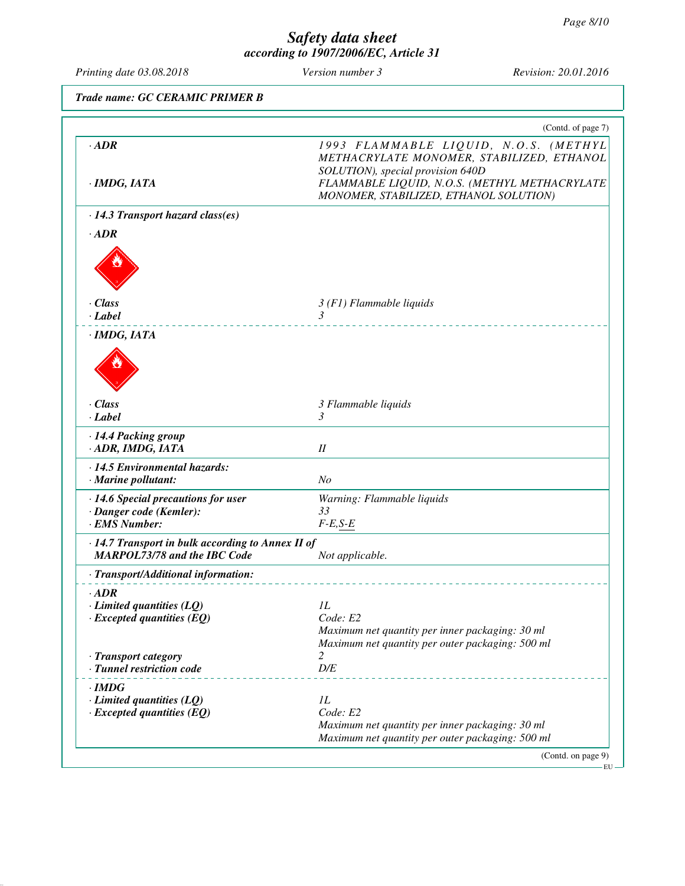t

| Printing date 03.08.2018                                                                                          | Version number 3                                                                                                           | Revision: 20.01.2016                                                                                                                |
|-------------------------------------------------------------------------------------------------------------------|----------------------------------------------------------------------------------------------------------------------------|-------------------------------------------------------------------------------------------------------------------------------------|
| Trade name: GC CERAMIC PRIMER B                                                                                   |                                                                                                                            |                                                                                                                                     |
|                                                                                                                   |                                                                                                                            | (Contd. of page 7)                                                                                                                  |
| $\cdot$ <i>ADR</i><br>$\cdot$ IMDG, IATA                                                                          | SOLUTION), special provision 640D<br>MONOMER, STABILIZED, ETHANOL SOLUTION)                                                | 1993 FLAMMABLE LIQUID, N.O.S. (METHYL<br>METHACRYLATE MONOMER, STABILIZED, ETHANOL<br>FLAMMABLE LIQUID, N.O.S. (METHYL METHACRYLATE |
| $\cdot$ 14.3 Transport hazard class(es)                                                                           |                                                                                                                            |                                                                                                                                     |
| $\cdot$ <i>ADR</i>                                                                                                |                                                                                                                            |                                                                                                                                     |
| $\cdot$ Class<br>$\cdot$ Label                                                                                    | $3(F1)$ Flammable liquids<br>3                                                                                             |                                                                                                                                     |
| $\cdot$ IMDG, IATA                                                                                                |                                                                                                                            |                                                                                                                                     |
| $\cdot$ Class<br>$\cdot$ Label                                                                                    | 3 Flammable liquids<br>3                                                                                                   |                                                                                                                                     |
| · 14.4 Packing group<br>· ADR, IMDG, IATA                                                                         | $I\!I$                                                                                                                     |                                                                                                                                     |
| · 14.5 Environmental hazards:<br>$\cdot$ Marine pollutant:                                                        | N <sub>O</sub>                                                                                                             |                                                                                                                                     |
| $\cdot$ 14.6 Special precautions for user<br>· Danger code (Kemler):<br>· EMS Number:                             | Warning: Flammable liquids<br>33<br>$F-E, S-E$                                                                             |                                                                                                                                     |
| · 14.7 Transport in bulk according to Annex II of<br><b>MARPOL73/78 and the IBC Code</b>                          | Not applicable.                                                                                                            |                                                                                                                                     |
| · Transport/Additional information:                                                                               |                                                                                                                            |                                                                                                                                     |
| $\cdot$ <i>ADR</i><br>$\cdot$ Limited quantities (LQ)<br>$\cdot$ Excepted quantities (EQ)<br>· Transport category | 1L<br>Code: E2<br>Maximum net quantity per inner packaging: 30 ml<br>Maximum net quantity per outer packaging: 500 ml<br>2 |                                                                                                                                     |
| · Tunnel restriction code                                                                                         | D/E                                                                                                                        |                                                                                                                                     |
| $\cdot$ IMDG<br>$\cdot$ Limited quantities (LQ)<br>$\cdot$ Excepted quantities (EQ)                               | 1L<br>Code: E2<br>Maximum net quantity per inner packaging: 30 ml<br>Maximum net quantity per outer packaging: 500 ml      |                                                                                                                                     |
|                                                                                                                   |                                                                                                                            | (Contd. on page 9)                                                                                                                  |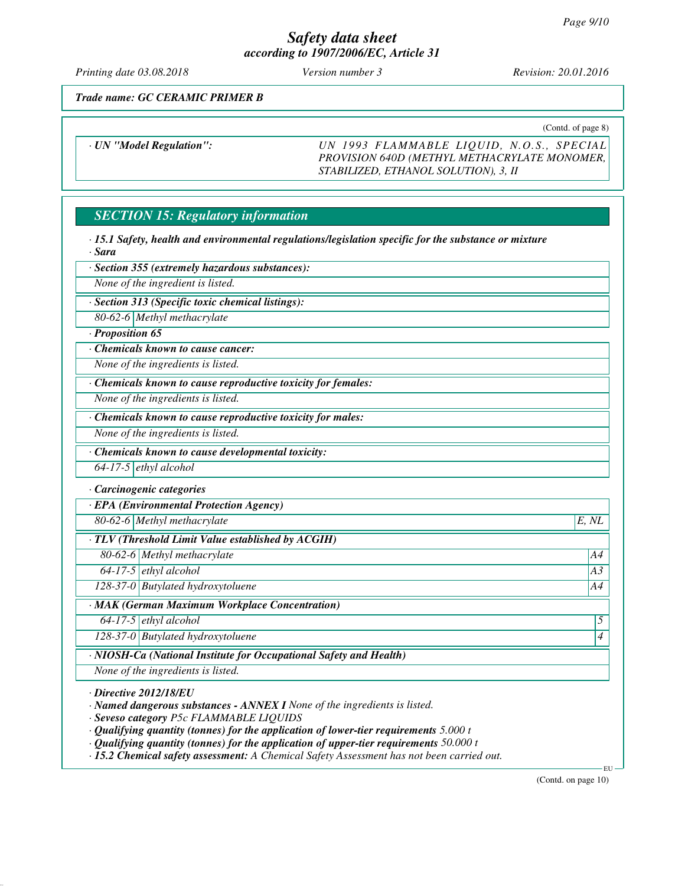*Printing date 03.08.2018 Version number 3 Revision: 20.01.2016*

*Trade name: GC CERAMIC PRIMER B*

(Contd. of page 8)

*· UN "Model Regulation": UN 1993 FLAMMABLE LIQUID, N.O.S., SPECIAL PROVISION 640D (METHYL METHACRYLATE MONOMER, STABILIZED, ETHANOL SOLUTION), 3, II*

# *SECTION 15: Regulatory information*

*· 15.1 Safety, health and environmental regulations/legislation specific for the substance or mixture · Sara*

*· Section 355 (extremely hazardous substances):*

*None of the ingredient is listed.*

*· Section 313 (Specific toxic chemical listings):*

*80-62-6 Methyl methacrylate*

*· Proposition 65*

*· Chemicals known to cause cancer:*

*None of the ingredients is listed.*

*· Chemicals known to cause reproductive toxicity for females:*

*None of the ingredients is listed.*

*· Chemicals known to cause reproductive toxicity for males:*

*None of the ingredients is listed.*

*· Chemicals known to cause developmental toxicity:*

*64-17-5 ethyl alcohol*

*· Carcinogenic categories*

*· EPA (Environmental Protection Agency)*

*80-62-6 Methyl methacrylate E, NL*

*· TLV (Threshold Limit Value established by ACGIH)*

*80-62-6 Methyl methacrylate A4*

*64-17-5 ethyl alcohol A3*

*128-37-0 Butylated hydroxytoluene A4*

*· MAK (German Maximum Workplace Concentration)*

*64-17-5 ethyl alcohol 5* 

*128-37-0 Butylated hydroxytoluene 4* 

*· NIOSH-Ca (National Institute for Occupational Safety and Health)*

*None of the ingredients is listed.*

*· Directive 2012/18/EU*

*· Named dangerous substances - ANNEX I None of the ingredients is listed.*

*· Seveso category P5c FLAMMABLE LIQUIDS*

*· Qualifying quantity (tonnes) for the application of lower-tier requirements 5.000 t*

*· Qualifying quantity (tonnes) for the application of upper-tier requirements 50.000 t*

*· 15.2 Chemical safety assessment: A Chemical Safety Assessment has not been carried out.*

(Contd. on page 10)

EU